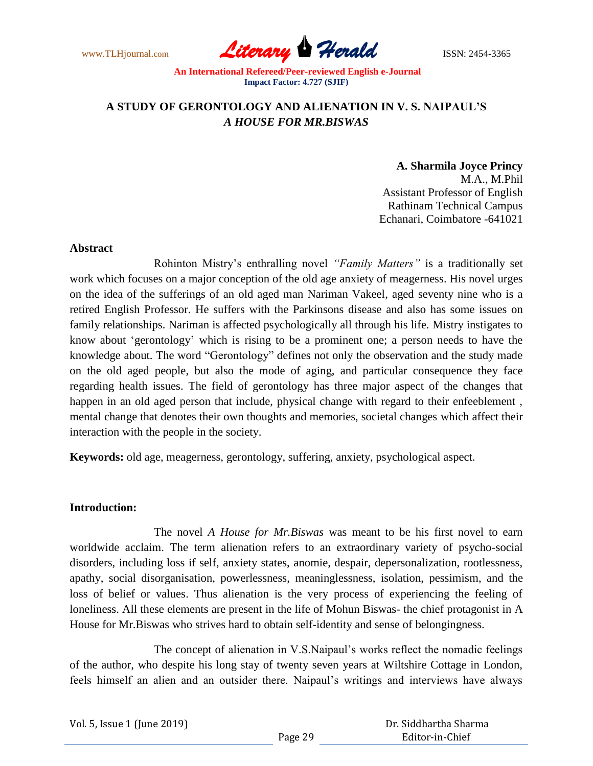www.TLHjournal.com **Literary Herald ISSN: 2454-3365** 

## **A STUDY OF GERONTOLOGY AND ALIENATION IN V. S. NAIPAUL'S**  *A HOUSE FOR MR.BISWAS*

## **A. Sharmila Joyce Princy**

M.A., M.Phil Assistant Professor of English Rathinam Technical Campus Echanari, Coimbatore -641021

## **Abstract**

Rohinton Mistry"s enthralling novel *"Family Matters"* is a traditionally set work which focuses on a major conception of the old age anxiety of meagerness. His novel urges on the idea of the sufferings of an old aged man Nariman Vakeel, aged seventy nine who is a retired English Professor. He suffers with the Parkinsons disease and also has some issues on family relationships. Nariman is affected psychologically all through his life. Mistry instigates to know about "gerontology" which is rising to be a prominent one; a person needs to have the knowledge about. The word "Gerontology" defines not only the observation and the study made on the old aged people, but also the mode of aging, and particular consequence they face regarding health issues. The field of gerontology has three major aspect of the changes that happen in an old aged person that include, physical change with regard to their enfeeblement , mental change that denotes their own thoughts and memories, societal changes which affect their interaction with the people in the society.

**Keywords:** old age, meagerness, gerontology, suffering, anxiety, psychological aspect.

## **Introduction:**

The novel *A House for Mr.Biswas* was meant to be his first novel to earn worldwide acclaim. The term alienation refers to an extraordinary variety of psycho-social disorders, including loss if self, anxiety states, anomie, despair, depersonalization, rootlessness, apathy, social disorganisation, powerlessness, meaninglessness, isolation, pessimism, and the loss of belief or values. Thus alienation is the very process of experiencing the feeling of loneliness. All these elements are present in the life of Mohun Biswas- the chief protagonist in A House for Mr.Biswas who strives hard to obtain self-identity and sense of belongingness.

The concept of alienation in V.S.Naipaul's works reflect the nomadic feelings of the author, who despite his long stay of twenty seven years at Wiltshire Cottage in London, feels himself an alien and an outsider there. Naipaul's writings and interviews have always

Vol. 5, Issue 1 (June 2019)

 Dr. Siddhartha Sharma Editor-in-Chief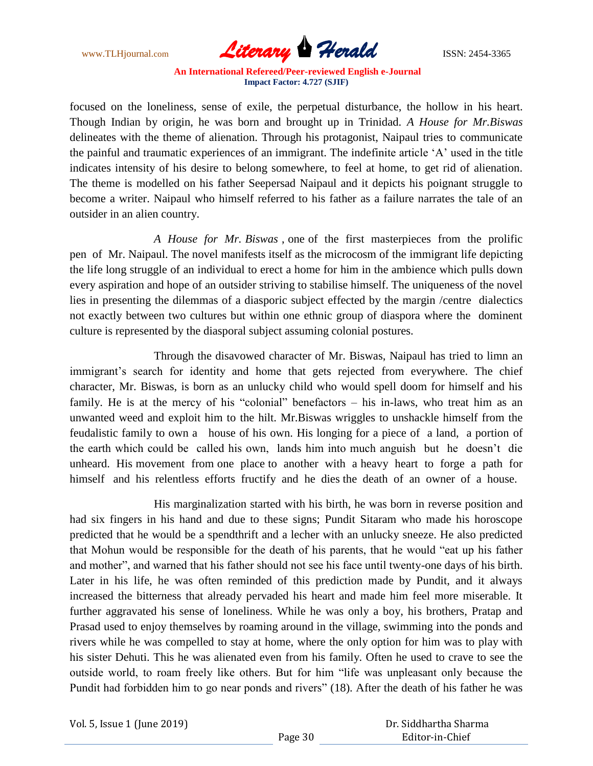www.TLHjournal.com **Literary Herald ISSN: 2454-3365** 

focused on the loneliness, sense of exile, the perpetual disturbance, the hollow in his heart. Though Indian by origin, he was born and brought up in Trinidad. *A House for Mr.Biswas* delineates with the theme of alienation. Through his protagonist, Naipaul tries to communicate the painful and traumatic experiences of an immigrant. The indefinite article "A" used in the title indicates intensity of his desire to belong somewhere, to feel at home, to get rid of alienation. The theme is modelled on his father Seepersad Naipaul and it depicts his poignant struggle to become a writer. Naipaul who himself referred to his father as a failure narrates the tale of an outsider in an alien country.

*A House for Mr. Biswas* , one of the first masterpieces from the prolific pen of Mr. Naipaul. The novel manifests itself as the microcosm of the immigrant life depicting the life long struggle of an individual to erect a home for him in the ambience which pulls down every aspiration and hope of an outsider striving to stabilise himself. The uniqueness of the novel lies in presenting the dilemmas of a diasporic subject effected by the margin /centre dialectics not exactly between two cultures but within one ethnic group of diaspora where the dominent culture is represented by the diasporal subject assuming colonial postures.

Through the disavowed character of Mr. Biswas, Naipaul has tried to limn an immigrant's search for identity and home that gets rejected from everywhere. The chief character, Mr. Biswas, is born as an unlucky child who would spell doom for himself and his family. He is at the mercy of his "colonial" benefactors – his in-laws, who treat him as an unwanted weed and exploit him to the hilt. Mr.Biswas wriggles to unshackle himself from the feudalistic family to own a house of his own. His longing for a piece of a land, a portion of the earth which could be called his own, lands him into much anguish but he doesn"t die unheard. His movement from one place to another with a heavy heart to forge a path for himself and his relentless efforts fructify and he dies the death of an owner of a house.

His marginalization started with his birth, he was born in reverse position and had six fingers in his hand and due to these signs; Pundit Sitaram who made his horoscope predicted that he would be a spendthrift and a lecher with an unlucky sneeze. He also predicted that Mohun would be responsible for the death of his parents, that he would "eat up his father and mother", and warned that his father should not see his face until twenty-one days of his birth. Later in his life, he was often reminded of this prediction made by Pundit, and it always increased the bitterness that already pervaded his heart and made him feel more miserable. It further aggravated his sense of loneliness. While he was only a boy, his brothers, Pratap and Prasad used to enjoy themselves by roaming around in the village, swimming into the ponds and rivers while he was compelled to stay at home, where the only option for him was to play with his sister Dehuti. This he was alienated even from his family. Often he used to crave to see the outside world, to roam freely like others. But for him "life was unpleasant only because the Pundit had forbidden him to go near ponds and rivers" (18). After the death of his father he was

Vol. 5, Issue 1 (June 2019)

 Dr. Siddhartha Sharma Editor-in-Chief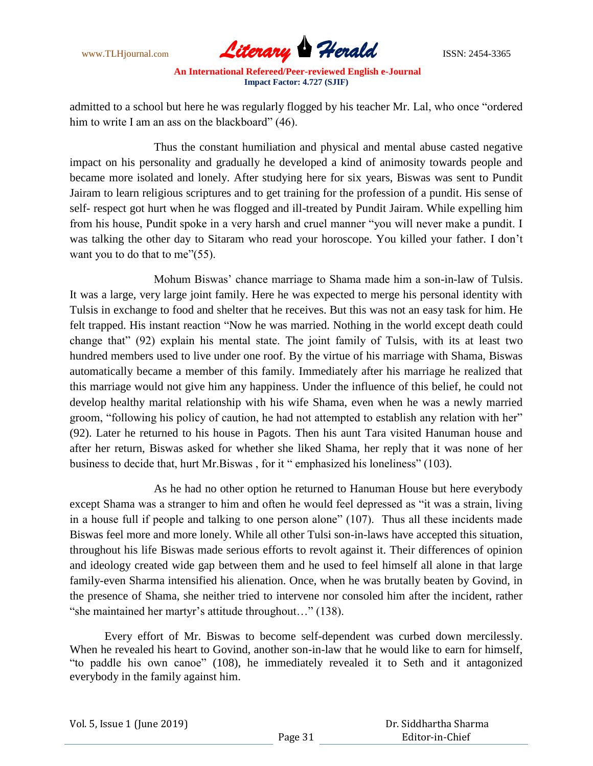

admitted to a school but here he was regularly flogged by his teacher Mr. Lal, who once "ordered him to write I am an ass on the blackboard" (46).

Thus the constant humiliation and physical and mental abuse casted negative impact on his personality and gradually he developed a kind of animosity towards people and became more isolated and lonely. After studying here for six years, Biswas was sent to Pundit Jairam to learn religious scriptures and to get training for the profession of a pundit. His sense of self- respect got hurt when he was flogged and ill-treated by Pundit Jairam. While expelling him from his house, Pundit spoke in a very harsh and cruel manner "you will never make a pundit. I was talking the other day to Sitaram who read your horoscope. You killed your father. I don"t want you to do that to me"(55).

Mohum Biswas' chance marriage to Shama made him a son-in-law of Tulsis. It was a large, very large joint family. Here he was expected to merge his personal identity with Tulsis in exchange to food and shelter that he receives. But this was not an easy task for him. He felt trapped. His instant reaction "Now he was married. Nothing in the world except death could change that" (92) explain his mental state. The joint family of Tulsis, with its at least two hundred members used to live under one roof. By the virtue of his marriage with Shama, Biswas automatically became a member of this family. Immediately after his marriage he realized that this marriage would not give him any happiness. Under the influence of this belief, he could not develop healthy marital relationship with his wife Shama, even when he was a newly married groom, "following his policy of caution, he had not attempted to establish any relation with her" (92). Later he returned to his house in Pagots. Then his aunt Tara visited Hanuman house and after her return, Biswas asked for whether she liked Shama, her reply that it was none of her business to decide that, hurt Mr.Biswas , for it " emphasized his loneliness" (103).

As he had no other option he returned to Hanuman House but here everybody except Shama was a stranger to him and often he would feel depressed as "it was a strain, living in a house full if people and talking to one person alone" (107). Thus all these incidents made Biswas feel more and more lonely. While all other Tulsi son-in-laws have accepted this situation, throughout his life Biswas made serious efforts to revolt against it. Their differences of opinion and ideology created wide gap between them and he used to feel himself all alone in that large family-even Sharma intensified his alienation. Once, when he was brutally beaten by Govind, in the presence of Shama, she neither tried to intervene nor consoled him after the incident, rather "she maintained her martyr"s attitude throughout…" (138).

Every effort of Mr. Biswas to become self-dependent was curbed down mercilessly. When he revealed his heart to Govind, another son-in-law that he would like to earn for himself, "to paddle his own canoe" (108), he immediately revealed it to Seth and it antagonized everybody in the family against him.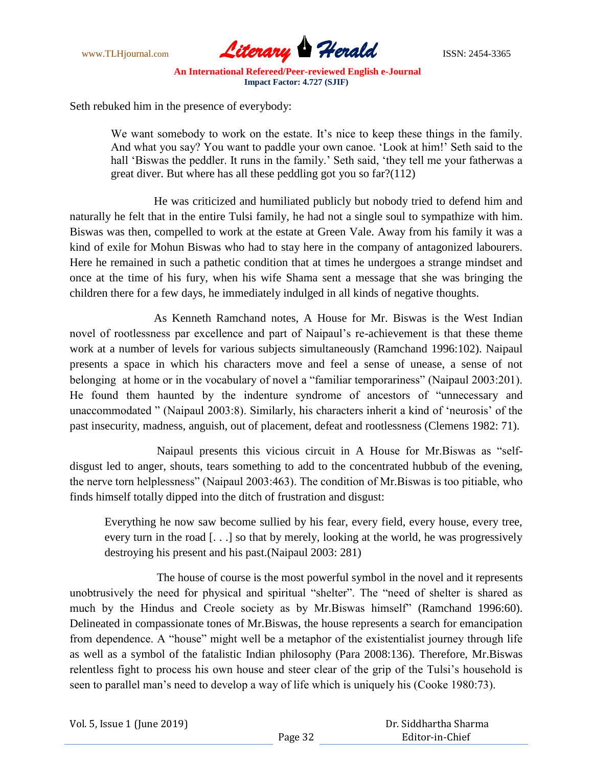

Seth rebuked him in the presence of everybody:

We want somebody to work on the estate. It's nice to keep these things in the family. And what you say? You want to paddle your own canoe. "Look at him!" Seth said to the hall 'Biswas the peddler. It runs in the family.' Seth said, 'they tell me your fatherwas a great diver. But where has all these peddling got you so far?(112)

He was criticized and humiliated publicly but nobody tried to defend him and naturally he felt that in the entire Tulsi family, he had not a single soul to sympathize with him. Biswas was then, compelled to work at the estate at Green Vale. Away from his family it was a kind of exile for Mohun Biswas who had to stay here in the company of antagonized labourers. Here he remained in such a pathetic condition that at times he undergoes a strange mindset and once at the time of his fury, when his wife Shama sent a message that she was bringing the children there for a few days, he immediately indulged in all kinds of negative thoughts.

As Kenneth Ramchand notes, A House for Mr. Biswas is the West Indian novel of rootlessness par excellence and part of Naipaul's re-achievement is that these theme work at a number of levels for various subjects simultaneously (Ramchand 1996:102). Naipaul presents a space in which his characters move and feel a sense of unease, a sense of not belonging at home or in the vocabulary of novel a "familiar temporariness" (Naipaul 2003:201). He found them haunted by the indenture syndrome of ancestors of "unnecessary and unaccommodated " (Naipaul 2003:8). Similarly, his characters inherit a kind of "neurosis" of the past insecurity, madness, anguish, out of placement, defeat and rootlessness (Clemens 1982: 71).

 Naipaul presents this vicious circuit in A House for Mr.Biswas as "selfdisgust led to anger, shouts, tears something to add to the concentrated hubbub of the evening, the nerve torn helplessness" (Naipaul 2003:463). The condition of Mr.Biswas is too pitiable, who finds himself totally dipped into the ditch of frustration and disgust:

Everything he now saw become sullied by his fear, every field, every house, every tree, every turn in the road [. . .] so that by merely, looking at the world, he was progressively destroying his present and his past.(Naipaul 2003: 281)

The house of course is the most powerful symbol in the novel and it represents unobtrusively the need for physical and spiritual "shelter". The "need of shelter is shared as much by the Hindus and Creole society as by Mr.Biswas himself" (Ramchand 1996:60). Delineated in compassionate tones of Mr.Biswas, the house represents a search for emancipation from dependence. A "house" might well be a metaphor of the existentialist journey through life as well as a symbol of the fatalistic Indian philosophy (Para 2008:136). Therefore, Mr.Biswas relentless fight to process his own house and steer clear of the grip of the Tulsi's household is seen to parallel man's need to develop a way of life which is uniquely his (Cooke 1980:73).

Vol. 5, Issue 1 (June 2019)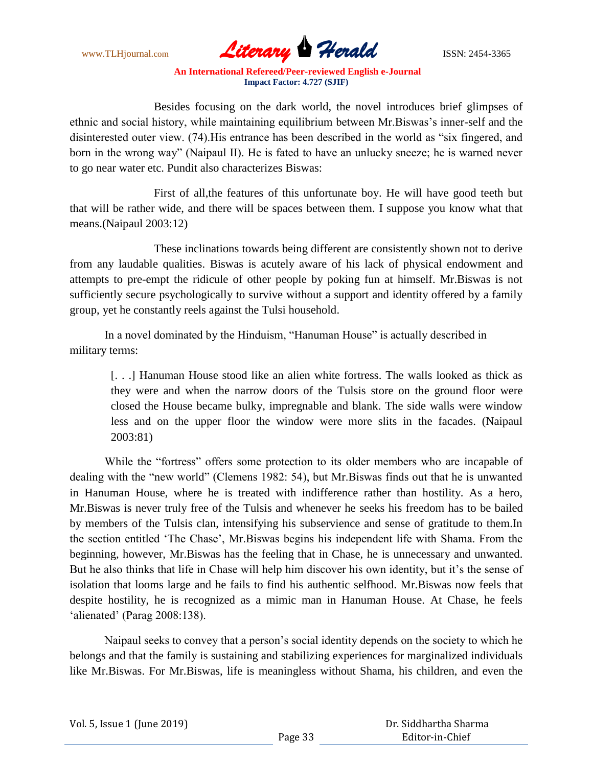www.TLHjournal.com **Literary Herald Herald** ISSN: 2454-3365

Besides focusing on the dark world, the novel introduces brief glimpses of ethnic and social history, while maintaining equilibrium between Mr.Biswas"s inner-self and the disinterested outer view. (74).His entrance has been described in the world as "six fingered, and born in the wrong way" (Naipaul II). He is fated to have an unlucky sneeze; he is warned never to go near water etc. Pundit also characterizes Biswas:

First of all,the features of this unfortunate boy. He will have good teeth but that will be rather wide, and there will be spaces between them. I suppose you know what that means.(Naipaul 2003:12)

These inclinations towards being different are consistently shown not to derive from any laudable qualities. Biswas is acutely aware of his lack of physical endowment and attempts to pre-empt the ridicule of other people by poking fun at himself. Mr.Biswas is not sufficiently secure psychologically to survive without a support and identity offered by a family group, yet he constantly reels against the Tulsi household.

In a novel dominated by the Hinduism, "Hanuman House" is actually described in military terms:

[...] Hanuman House stood like an alien white fortress. The walls looked as thick as they were and when the narrow doors of the Tulsis store on the ground floor were closed the House became bulky, impregnable and blank. The side walls were window less and on the upper floor the window were more slits in the facades. (Naipaul 2003:81)

While the "fortress" offers some protection to its older members who are incapable of dealing with the "new world" (Clemens 1982: 54), but Mr.Biswas finds out that he is unwanted in Hanuman House, where he is treated with indifference rather than hostility. As a hero, Mr.Biswas is never truly free of the Tulsis and whenever he seeks his freedom has to be bailed by members of the Tulsis clan, intensifying his subservience and sense of gratitude to them.In the section entitled "The Chase", Mr.Biswas begins his independent life with Shama. From the beginning, however, Mr.Biswas has the feeling that in Chase, he is unnecessary and unwanted. But he also thinks that life in Chase will help him discover his own identity, but it's the sense of isolation that looms large and he fails to find his authentic selfhood. Mr.Biswas now feels that despite hostility, he is recognized as a mimic man in Hanuman House. At Chase, he feels 'alienated' (Parag 2008:138).

Naipaul seeks to convey that a person"s social identity depends on the society to which he belongs and that the family is sustaining and stabilizing experiences for marginalized individuals like Mr.Biswas. For Mr.Biswas, life is meaningless without Shama, his children, and even the

|  |  |  |  | Vol. 5, Issue 1 (June 2019) |
|--|--|--|--|-----------------------------|
|--|--|--|--|-----------------------------|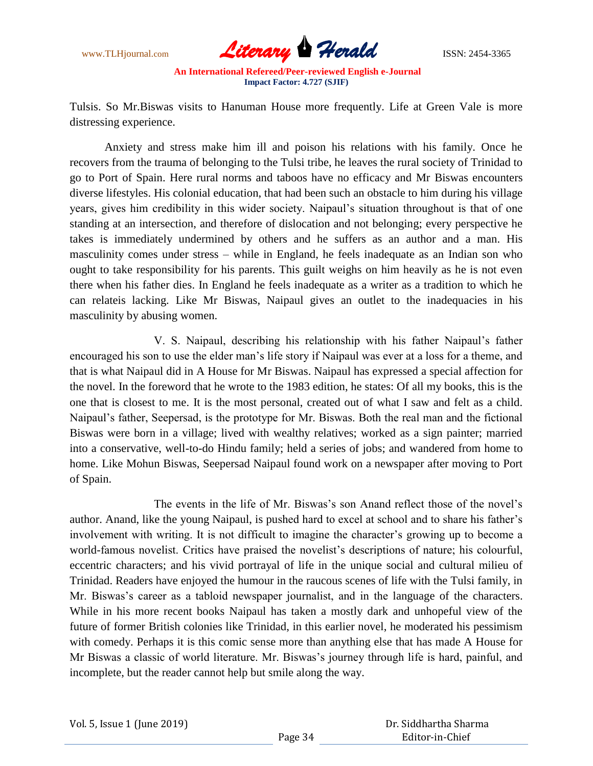

Tulsis. So Mr.Biswas visits to Hanuman House more frequently. Life at Green Vale is more distressing experience.

Anxiety and stress make him ill and poison his relations with his family. Once he recovers from the trauma of belonging to the Tulsi tribe, he leaves the rural society of Trinidad to go to Port of Spain. Here rural norms and taboos have no efficacy and Mr Biswas encounters diverse lifestyles. His colonial education, that had been such an obstacle to him during his village years, gives him credibility in this wider society. Naipaul"s situation throughout is that of one standing at an intersection, and therefore of dislocation and not belonging; every perspective he takes is immediately undermined by others and he suffers as an author and a man. His masculinity comes under stress – while in England, he feels inadequate as an Indian son who ought to take responsibility for his parents. This guilt weighs on him heavily as he is not even there when his father dies. In England he feels inadequate as a writer as a tradition to which he can relateis lacking. Like Mr Biswas, Naipaul gives an outlet to the inadequacies in his masculinity by abusing women.

V. S. Naipaul, describing his relationship with his father Naipaul"s father encouraged his son to use the elder man"s life story if Naipaul was ever at a loss for a theme, and that is what Naipaul did in A House for Mr Biswas. Naipaul has expressed a special affection for the novel. In the foreword that he wrote to the 1983 edition, he states: Of all my books, this is the one that is closest to me. It is the most personal, created out of what I saw and felt as a child. Naipaul"s father, Seepersad, is the prototype for Mr. Biswas. Both the real man and the fictional Biswas were born in a village; lived with wealthy relatives; worked as a sign painter; married into a conservative, well-to-do Hindu family; held a series of jobs; and wandered from home to home. Like Mohun Biswas, Seepersad Naipaul found work on a newspaper after moving to Port of Spain.

The events in the life of Mr. Biswas's son Anand reflect those of the novel's author. Anand, like the young Naipaul, is pushed hard to excel at school and to share his father"s involvement with writing. It is not difficult to imagine the character's growing up to become a world-famous novelist. Critics have praised the novelist's descriptions of nature; his colourful, eccentric characters; and his vivid portrayal of life in the unique social and cultural milieu of Trinidad. Readers have enjoyed the humour in the raucous scenes of life with the Tulsi family, in Mr. Biswas's career as a tabloid newspaper journalist, and in the language of the characters. While in his more recent books Naipaul has taken a mostly dark and unhopeful view of the future of former British colonies like Trinidad, in this earlier novel, he moderated his pessimism with comedy. Perhaps it is this comic sense more than anything else that has made A House for Mr Biswas a classic of world literature. Mr. Biswas"s journey through life is hard, painful, and incomplete, but the reader cannot help but smile along the way.